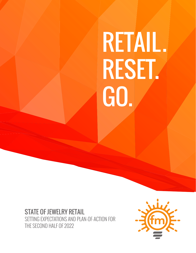# RETAIL. RESET. GO.

# STATE OF JEWELRY RETAIL SETTING EXPECTATIONS AND PLAN-OF-ACTION FOR THE SECOND HALF OF 2022

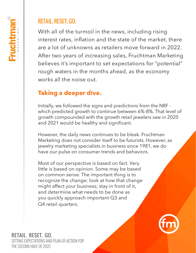# RETAIL. RESET. GO.

With all of the turmoil in the news, including rising interest rates, inflation and the state of the market, there are a lot of unknowns as retailers move forward in 2022. After two years of increasing sales, Fruchtman Marketing believes it's important to set expectations for "potential" rough waters in the months ahead, as the economy works all the noise out.

# **Taking a deeper dive.**

Initially, we followed the signs and predictions from the NRF which predicted growth to continue between 6%-8%. That level of growth compounded with the growth retail jewelers saw in 2020 and 2021 would be healthy and significant.

However, the daily news continues to be bleak. Fruchtman Marketing does not consider itself to be futurists. However, as jewelry marketing specialists in business since 1981, we do have our pulse on consumer trends and behaviors.

Most of our perspective is based on fact. Very little is based on opinion. Some may be based on common sense. The important thing is to recognize the change; look at how that change might affect your business; stay in front of it, and determine what needs to be done as you quickly approach important Q3 and Q4 retail quarters.



RETAIL. RESET. GO. SETTING EXPECTATIONS AND PLAN-OF-ACTION FOR THE SECOND HALF OF 2022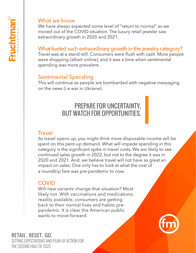

#### What we know

We have always expected some level of "return to normal" as we moved out of the COVID situation. The luxury retail jeweler saw extraordinary growth in 2020 and 2021.

## What fueled such extraordinary growth in the jewelry category?

Travel was at a stand-still. Consumers were flush with cash. More people were shopping (albeit online), and it was a time when sentimental spending was more prevalent.

## Sentimental Spending

This will continue as people are bombarded with negative messaging on the news (i.e war in Ukraine).

# PREPARE FOR UNCERTAINTY, BUT WATCH FOR OPPORTUNITIES.

## **Travel**

As travel opens up, you might think more disposable income will be spent on this pent-up demand. What will impede spending in this category is the significant spike in travel costs. We are likely to see continued sales growth in 2022, but not to the degree it was in 2020 and 2021. And, we believe travel will not have as great an impact on sales. One only has to look at what the cost of a roundtrip fare was pre-pandemic to now.

## **COVID**

Will new variants change that situation? Most likely not. With vaccinations and medications readily available, consumers are getting back to their normal lives and habits prepandemic. It is clear the American public wants to move forward.

# RETAIL. RESET. GO.

SETTING EXPECTATIONS AND PLAN-OF-ACTION FOR THE SECOND HALF OF 2022

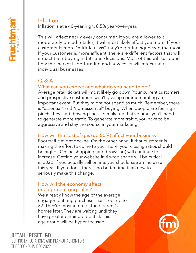#### Inflation

Inflation is at a 40-year high, 8.5% year-over-year.

This will affect nearly every consumer. If you are a lower to a moderately priced retailer, it will most likely affect you more. If your customer is more "middle class", they're getting squeezed the most. If your customer is more affluent, there are different factors that will impact their buying habits and decisions. Most of this will surround how the market is performing and how costs will affect their individual businesses.

# Q & A

## What can you expect and what do you need to do?

Average retail tickets will most likely go down. Your current customers and prospective customers won't give up commemorating an important event. But they might not spend as much. Remember, there is "essential" and "non-essential" buying. When people are feeling a pinch, they start drawing lines. To make up that volume, you'll need to generate more traffic. To generate more traffic, you have to be aggressive and stay the course in your marketing.

#### How will the cost of gas (up 50%) affect your business?

Foot traffic might decline. On the other hand, if that customer is making the effort to come to your store, your closing ratios should be higher. Online shopping (and browsing) will continue to increase. Getting your website in tip-top shape will be critical in 2022. If you actually sell online, you should see an increase this year. If you don't, there's no better time than now to seriously make this change.

#### How will the economy affect engagement ring sales?

We already know the age of the average engagement ring purchaser has crept up to 32. They're moving out of their parent's homes later. They are waiting until they have greater earning potential. This age group will be hyper-focused



RETAIL. RESET. GO. SETTING EXPECTATIONS AND PLAN-OF-ACTION FOR

THE SECOND HALF OF 2022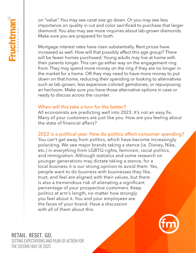on "value". You may see carat size go down. Or you may see less importance on quality in cut and color sacrificed to purchase that larger diamond. You also may see more inquiries about lab-grown diamonds. Make sure you are prepared for both.

Mortgage interest rates have risen substantially. Rent prices have increased as well. How will that possibly affect this age group? There will be fewer homes purchased. Young adults may live at home with their parents longer. This can go either way on the engagement ring front. They may spend more money on the ring if they are no longer in the market for a home. OR they may need to have more money to put down on that home, reducing their spending or looking to alternatives such as lab-grown; less expensive colored gemstones; or repurposing an heirloom. Make sure you have those alternative options in case or ready to discuss across the counter.

#### When will this take a turn for the better?

All economists are predicting well into 2023. It's not an easy fix. Many of your customers are just like you. How are you feeling about the state of financial affairs?

## 2022 is a political year. How do politics affect consumer spending?

You can't get away from politics, which have become increasingly polarizing. We see major brands taking a stance (ie. Disney, Nike, etc.) in everything from LGBTQ rights, feminism, racial politics, and immigration. Although statistics and some research on younger generations may dictate taking a stance, for a local business it is our strong opinion to avoid them. Yes, people want to do business with businesses they like, trust, and feel are aligned with their values, but there is also a tremendous risk of alienating a significant percentage of your prospective customers. Keep politics at arm's length, no matter how strongly you feel about it. You and your employees are the faces of your brand. Have a discussion with all of them about this.



#### RETAIL. RESET. GO. SETTING EXPECTATIONS AND PLAN-OF-ACTION FOR THE SECOND HALF OF 2022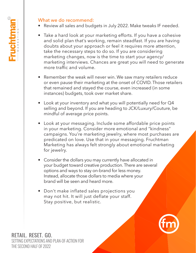#### What we do recommend:

- Review all sales and budgets in July 2022. Make tweaks IF needed.
- Take a hard look at your marketing efforts. If you have a cohesive and solid plan that's working, remain steadfast. If you are having doubts about your approach or feel it requires more attention, take the necessary steps to do so. If you are considering marketing changes, now is the time to start your agency/ marketing interviews. Chances are great you will need to generate more traffic and volume.
- Remember the weak will never win. We saw many retailers reduce or even pause their marketing at the onset of COVID. Those retailers that remained and stayed the course, even increased (in some instances) budgets, took over market share.
- Look at your inventory and what you will potentially need for Q4 selling and beyond. If you are heading to JCK/Luxury/Couture, be mindful of average price points.
- Look at your messaging. Include some affordable price points in your marketing. Consider more emotional and "kindness" campaigns. You're marketing jewelry, where most purchases are predicated on love. Use that in your messaging. Fruchtman Marketing has always felt strongly about emotional marketing for jewelry.
- Consider the dollars you may currently have allocated in your budget toward creative production. There are several options and ways to stay on-brand for less money. Instead, allocate those dollars to media where your brand will be seen and heard more.
- Don't make inflated sales projections you may not hit. It will just deflate your staff. Stay positive, but realistic.